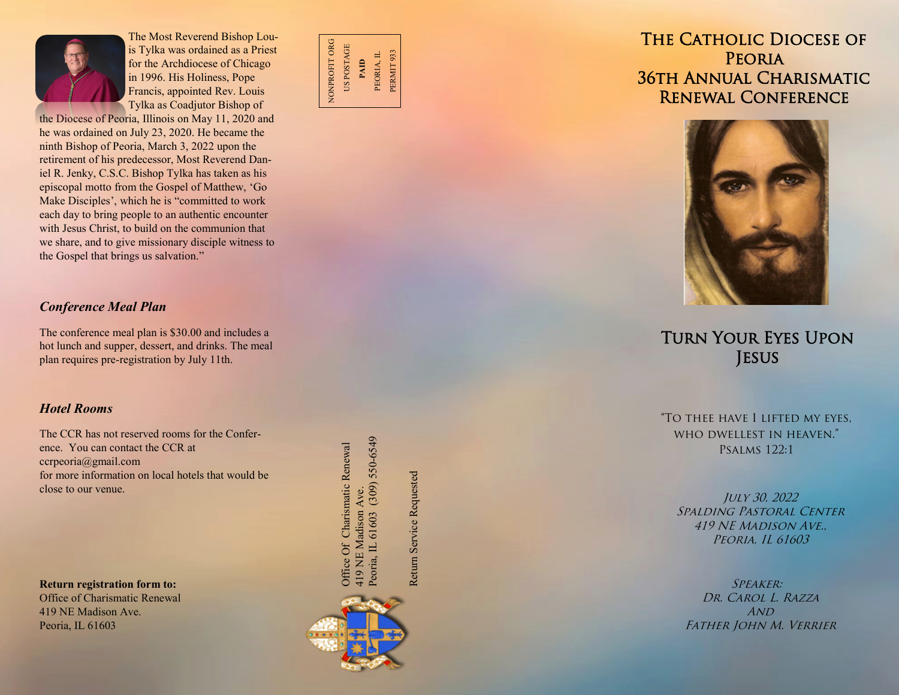

The Most Reverend Bishop Louis Tylka was ordained as a Priest for the Archdiocese of Chicago in 1996. His Holiness, Pope Francis, appointed Rev. Louis Tylka as Coadjutor Bishop of

the Diocese of Peoria, Illinois on May 11, 2020 and he was ordained on July 23, 2020. He became the ninth Bishop of Peoria, March 3, 2022 upon the retirement of his predecessor, Most Reverend Daniel R. Jenky, C.S.C. Bishop Tylka has taken as his episcopal motto from the Gospel of Matthew, 'Go Make Disciples', which he is "committed to work each day to bring people to an authentic encounter with Jesus Christ, to build on the communion that we share, and to give missionary disciple witness to the Gospel that brings us salvation. "

## *Conference Meal Plan*

The conference meal plan is \$30.00 and includes a hot lunch and supper, dessert, and drinks. The meal plan requires pre -registration by July 11th.

#### *Hotel Rooms*

The CCR has not reserved rooms for the Conference. You can contact the CCR at ccrpeoria@gmail.com for more information on local hotels that would be close to our venue.

**Return registration form to:** 

Office of Charismatic Renewal 419 NE Madison Ave. Peoria, IL 61603



THE CATHOLIC DIOCESE OF **PEORIA** 36th Annual Charismatic Renewal Conference



# Turn Your Eyes Upon **JESUS**

"To thee have I lifted my eyes, who dwellest in heaven." Psalms 122:1

July 30, 2022 SPALDING PASTORAL CENTER 419 NE Madison Ave., Peoria, IL 61603

Speaker: Dr. Carol L. Razza A<sub>ND</sub> Father John M. Verrier

Peoria, IL 61603 (309) 550-6549 Peoria, IL 61603 (309) 550-6549 Office Of Charismatic Renewal Office Of Charismatic Renewal 419 NE Madison Ave. 419 NE Madison Ave.

Return Service Requested

Return Service Requested